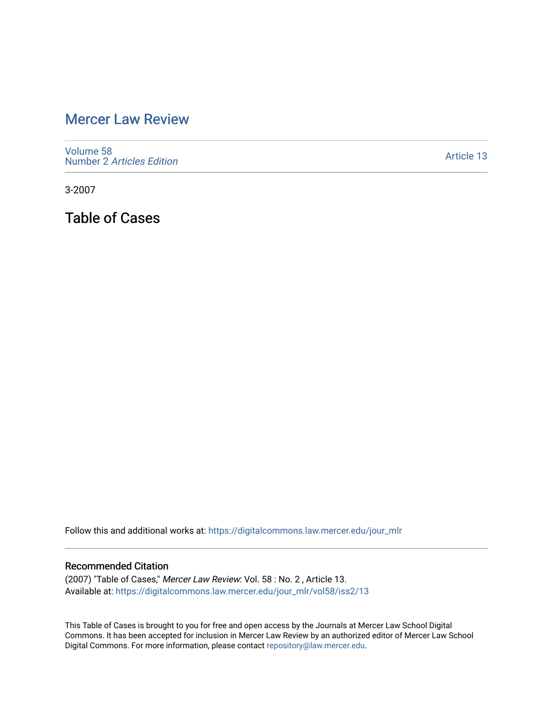# [Mercer Law Review](https://digitalcommons.law.mercer.edu/jour_mlr)

[Volume 58](https://digitalcommons.law.mercer.edu/jour_mlr/vol58) Number 2 [Articles Edition](https://digitalcommons.law.mercer.edu/jour_mlr/vol58/iss2) 

[Article 13](https://digitalcommons.law.mercer.edu/jour_mlr/vol58/iss2/13) 

3-2007

Table of Cases

Follow this and additional works at: [https://digitalcommons.law.mercer.edu/jour\\_mlr](https://digitalcommons.law.mercer.edu/jour_mlr?utm_source=digitalcommons.law.mercer.edu%2Fjour_mlr%2Fvol58%2Fiss2%2F13&utm_medium=PDF&utm_campaign=PDFCoverPages)

#### Recommended Citation

(2007) "Table of Cases," Mercer Law Review: Vol. 58 : No. 2 , Article 13. Available at: [https://digitalcommons.law.mercer.edu/jour\\_mlr/vol58/iss2/13](https://digitalcommons.law.mercer.edu/jour_mlr/vol58/iss2/13?utm_source=digitalcommons.law.mercer.edu%2Fjour_mlr%2Fvol58%2Fiss2%2F13&utm_medium=PDF&utm_campaign=PDFCoverPages) 

This Table of Cases is brought to you for free and open access by the Journals at Mercer Law School Digital Commons. It has been accepted for inclusion in Mercer Law Review by an authorized editor of Mercer Law School Digital Commons. For more information, please contact [repository@law.mercer.edu](mailto:repository@law.mercer.edu).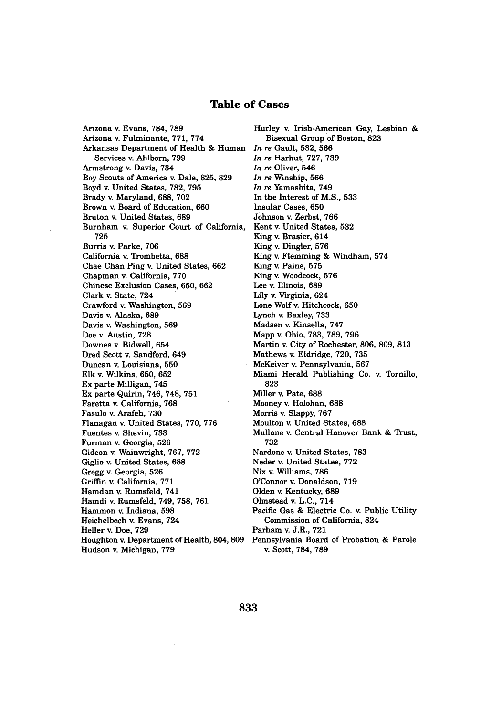#### **Table of Cases**

Arizona v. Evans, 784, **789** Arizona v. Fulminante, **771, 774** Arkansas Department of Health **&** Human Services v. Ahlborn, **799** Armstrong v. Davis, 734 Boy Scouts of America v. Dale, **825, 829** Boyd v. United States, **782, 795** Brady v. Maryland, **688, 702** Brown v. Board of Education, **660** Bruton v. United States, **689** Burnham v. Superior Court of California, **725** Burris v. Parke, **706** California v. Trombetta, **688** Chae Chan Ping v. United States, **662** Chapman v. California, **770** Chinese Exclusion Cases, **650, 662** Clark v. State, 724 Crawford v. Washington, **569** Davis v. Alaska, **689** Davis v. Washington, **569** Doe v. Austin, **728** Downes v. Bidwell, 654 Dred Scott v. Sandford, 649 Duncan v. Louisiana, **550** Elk v. Wilkins, 650, 652 Ex parte Milligan, 745 Ex parte Quirin, 746, 748, 751 Faretta v. California, 768 Fasulo v. Arafeh, 730 Flanagan v. United States, 770, 776 Fuentes v. Shevin, 733 Furman v. Georgia, 526 Gideon v. Wainwright, 767, 772 Giglio v. United States, 688 Gregg v. Georgia, 526 Griffin v. California, 771 Hamdan v. Rumsfeld, 741 Hamdi v. Rumsfeld, 749, 758, 761 Hammon v. Indiana, **598** Heichelbech v. Evans, 724 Heller v. Doe, 729 Houghton v. Department of Health, 804, 809 Hudson v. Michigan, 779

Hurley v. Irish-American Gay, Lesbian & Bisexual Group of Boston, 823 *In re* Gault, 532, **566** *In re* Harhut, 727, 739 *In re* Oliver, 546 *In re* Winship, 566 *In re* Yamashita, 749 In the Interest of M.S., **533** Insular Cases, 650 Johnson v. Zerbst, 766 Kent v. United States, 532 King v. Brasier, 614 King v. Dingler, 576 King v. Flemming & Windham, 574 King v. Paine, 575 King v. Woodcock, 576 Lee v. Illinois, 689 Lily v. Virginia, 624 Lone Wolf v. Hitchcock, 650 Lynch v. Baxley, 733 Madsen v. Kinsella, 747 Mapp v. Ohio, 783, 789, 796 Martin v. City of Rochester, 806, 809, 813 Mathews v. Eldridge, 720, 735 McKeiver v. Pennsylvania, 567 Miami Herald Publishing Co. v. Tornillo, 823 Miller v. Pate, 688 Mooney v. Holohan, 688 Morris v. Slappy, 767 Moulton v. United States, 688 Mullane v. Central Hanover Bank & Trust, 732 Nardone v. United States, 783 Neder v. United States, 772 Nix v. Williams, 786 O'Connor v. Donaldson, 719 Olden v. Kentucky, 689 Olmstead v. L.C., 714 Pacific Gas & Electric Co. v. Public Utility Commission of California, 824 Parham v. J.R., 721 Pennsylvania Board of Probation & Parole v. Scott, 784, 789

 $\sim$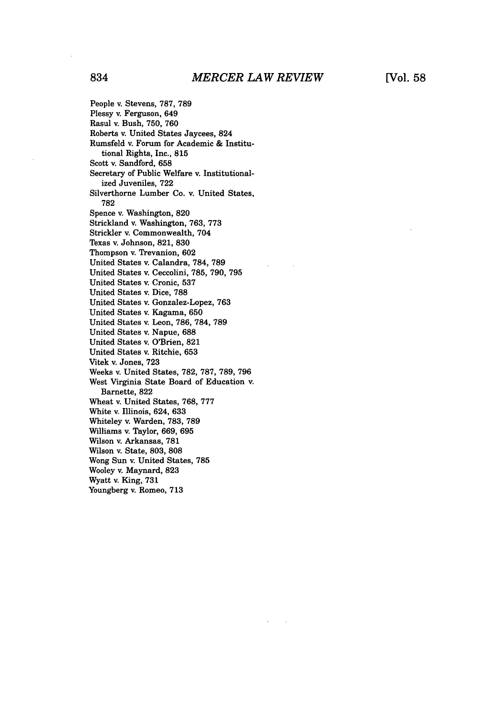People v. Stevens, 787, 789 Plessy v. Ferguson, 649 Rasul v. Bush, 750, 760 Roberts v. United States Jaycees, 824 Rumsfeld v. Forum for Academic & Institutional Rights, Inc., 815 Scott v. Sandford, 658 Secretary of Public Welfare v. Institutionalized Juveniles, 722 Silverthorne Lumber Co. v. United States, 782 Spence v. Washington, 820 Strickland v. Washington, 763, 773 Strickler v. Commonwealth, 704 Texas v. Johnson, 821, 830 Thompson v. Trevanion, 602 United States v. Calandra, 784, 789 United States v. Ceccolini, 785, 790, 795 United States v. Cronic, 537 United States v. Dice, 788 United States v. Gonzalez-Lopez, 763 United States v. Kagama, 650 United States v. Leon, 786, 784, 789 United States v. Napue, 688 United States v. O'Brien, 821 United States v. Ritchie, 653 Vitek v. Jones, 723 Weeks v. United States, 782, 787, 789, 796 West Virginia State Board of Education v. Barnette, 822 Wheat v. United States, 768, 777 White v. Illinois, 624, 633 Whiteley v. Warden, 783, 789 Williams v. Taylor, 669, 695 Wilson v. Arkansas, 781 Wilson v. State, 803, 808 Wong Sun v. United States, **785** Wooley v. Maynard, **823** Wyatt v. King, **731** Youngberg **v.** Romeo, **713**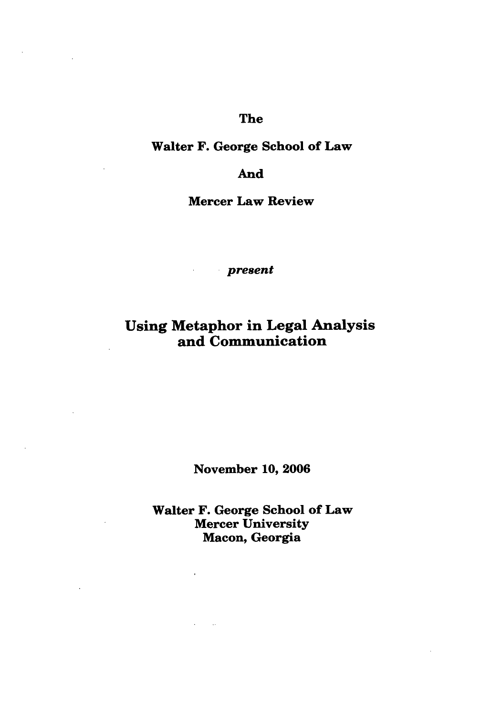## The

### Walter F. George School of Law

### And

Mercer Law Review

*present*

## Using Metaphor in Legal Analysis and Communication

November **10, 2006**

Walter F. George School of Law Mercer University Macon, Georgia